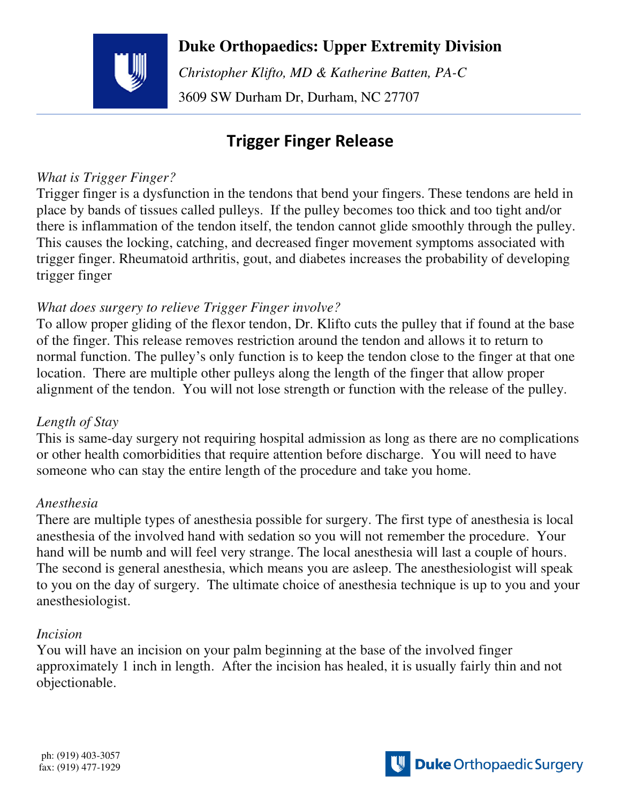

 **Duke Orthopaedics: Upper Extremity Division**

 *Christopher Klifto, MD & Katherine Batten, PA-C*  3609 SW Durham Dr, Durham, NC 27707

# **Trigger Finger Release**

## *What is Trigger Finger?*

Trigger finger is a dysfunction in the tendons that bend your fingers. These tendons are held in place by bands of tissues called pulleys. If the pulley becomes too thick and too tight and/or there is inflammation of the tendon itself, the tendon cannot glide smoothly through the pulley. This causes the locking, catching, and decreased finger movement symptoms associated with trigger finger. Rheumatoid arthritis, gout, and diabetes increases the probability of developing trigger finger

### *What does surgery to relieve Trigger Finger involve?*

To allow proper gliding of the flexor tendon, Dr. Klifto cuts the pulley that if found at the base of the finger. This release removes restriction around the tendon and allows it to return to normal function. The pulley's only function is to keep the tendon close to the finger at that one location. There are multiple other pulleys along the length of the finger that allow proper alignment of the tendon. You will not lose strength or function with the release of the pulley.

### *Length of Stay*

This is same-day surgery not requiring hospital admission as long as there are no complications or other health comorbidities that require attention before discharge. You will need to have someone who can stay the entire length of the procedure and take you home.

## *Anesthesia*

There are multiple types of anesthesia possible for surgery. The first type of anesthesia is local anesthesia of the involved hand with sedation so you will not remember the procedure. Your hand will be numb and will feel very strange. The local anesthesia will last a couple of hours. The second is general anesthesia, which means you are asleep. The anesthesiologist will speak to you on the day of surgery. The ultimate choice of anesthesia technique is up to you and your anesthesiologist.

#### *Incision*

You will have an incision on your palm beginning at the base of the involved finger approximately 1 inch in length. After the incision has healed, it is usually fairly thin and not objectionable.